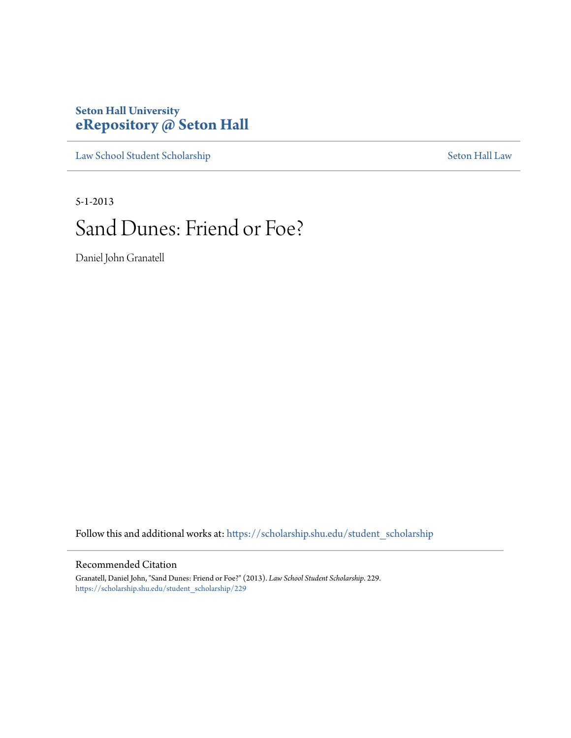# **Seton Hall University [eRepository @ Seton Hall](https://scholarship.shu.edu?utm_source=scholarship.shu.edu%2Fstudent_scholarship%2F229&utm_medium=PDF&utm_campaign=PDFCoverPages)**

[Law School Student Scholarship](https://scholarship.shu.edu/student_scholarship?utm_source=scholarship.shu.edu%2Fstudent_scholarship%2F229&utm_medium=PDF&utm_campaign=PDFCoverPages) [Seton Hall Law](https://scholarship.shu.edu/law?utm_source=scholarship.shu.edu%2Fstudent_scholarship%2F229&utm_medium=PDF&utm_campaign=PDFCoverPages)

5-1-2013

# Sand Dunes: Friend or Foe?

Daniel John Granatell

Follow this and additional works at: [https://scholarship.shu.edu/student\\_scholarship](https://scholarship.shu.edu/student_scholarship?utm_source=scholarship.shu.edu%2Fstudent_scholarship%2F229&utm_medium=PDF&utm_campaign=PDFCoverPages)

#### Recommended Citation

Granatell, Daniel John, "Sand Dunes: Friend or Foe?" (2013). *Law School Student Scholarship*. 229. [https://scholarship.shu.edu/student\\_scholarship/229](https://scholarship.shu.edu/student_scholarship/229?utm_source=scholarship.shu.edu%2Fstudent_scholarship%2F229&utm_medium=PDF&utm_campaign=PDFCoverPages)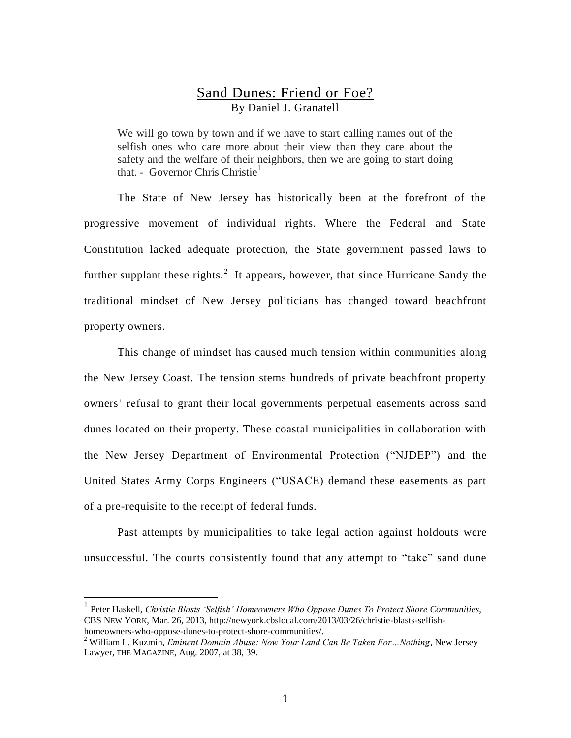## Sand Dunes: Friend or Foe? By Daniel J. Granatell

We will go town by town and if we have to start calling names out of the selfish ones who care more about their view than they care about the safety and the welfare of their neighbors, then we are going to start doing that. - Governor Chris Christie<sup>1</sup>

The State of New Jersey has historically been at the forefront of the progressive movement of individual rights. Where the Federal and State Constitution lacked adequate protection, the State government passed laws to further supplant these rights.<sup>2</sup> It appears, however, that since Hurricane Sandy the traditional mindset of New Jersey politicians has changed toward beachfront property owners.

This change of mindset has caused much tension within communities along the New Jersey Coast. The tension stems hundreds of private beachfront property owners' refusal to grant their local governments perpetual easements across sand dunes located on their property. These coastal municipalities in collaboration with the New Jersey Department of Environmental Protection ("NJDEP") and the United States Army Corps Engineers ("USACE) demand these easements as part of a pre-requisite to the receipt of federal funds.

Past attempts by municipalities to take legal action against holdouts were unsuccessful. The courts consistently found that any attempt to "take" sand dune

<sup>1</sup> Peter Haskell, *Christie Blasts 'Selfish' Homeowners Who Oppose Dunes To Protect Shore Communities*, CBS NEW YORK, Mar. 26, 2013, http://newyork.cbslocal.com/2013/03/26/christie-blasts-selfishhomeowners-who-oppose-dunes-to-protect-shore-communities/.

<sup>2</sup> William L. Kuzmin, *Eminent Domain Abuse: Now Your Land Can Be Taken For…Nothing*, New Jersey Lawyer, THE MAGAZINE, Aug. 2007, at 38, 39.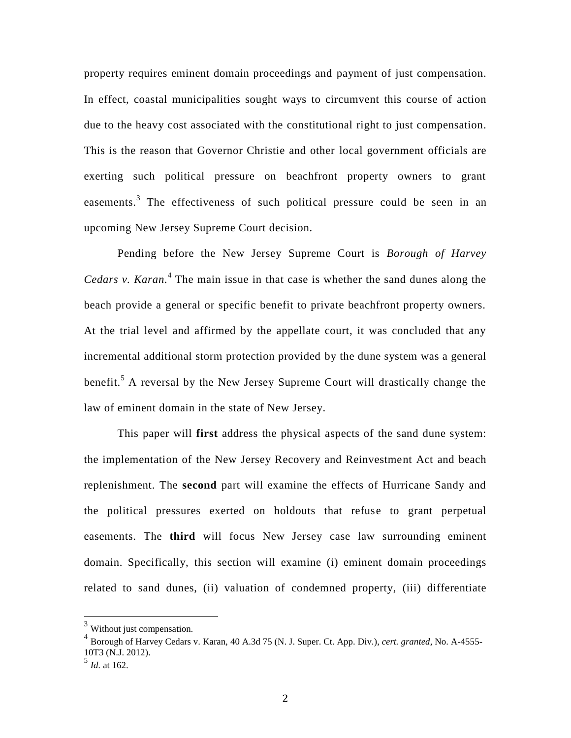property requires eminent domain proceedings and payment of just compensation. In effect, coastal municipalities sought ways to circumvent this course of action due to the heavy cost associated with the constitutional right to just compensation. This is the reason that Governor Christie and other local government officials are exerting such political pressure on beachfront property owners to grant easements.<sup>3</sup> The effectiveness of such political pressure could be seen in an upcoming New Jersey Supreme Court decision.

Pending before the New Jersey Supreme Court is *Borough of Harvey Cedars v. Karan.* 4 The main issue in that case is whether the sand dunes along the beach provide a general or specific benefit to private beachfront property owners. At the trial level and affirmed by the appellate court, it was concluded that any incremental additional storm protection provided by the dune system was a general benefit.<sup>5</sup> A reversal by the New Jersey Supreme Court will drastically change the law of eminent domain in the state of New Jersey.

This paper will **first** address the physical aspects of the sand dune system: the implementation of the New Jersey Recovery and Reinvestment Act and beach replenishment. The **second** part will examine the effects of Hurricane Sandy and the political pressures exerted on holdouts that refuse to grant perpetual easements. The **third** will focus New Jersey case law surrounding eminent domain. Specifically, this section will examine (i) eminent domain proceedings related to sand dunes, (ii) valuation of condemned property, (iii) differentiate

 $3$  Without just compensation.

<sup>4</sup> Borough of Harvey Cedars v. Karan, 40 A.3d 75 (N. J. Super. Ct. App. Div.), *cert. granted*, No. A-4555- 10T3 (N.J. 2012).

<sup>5</sup> *Id.* at 162.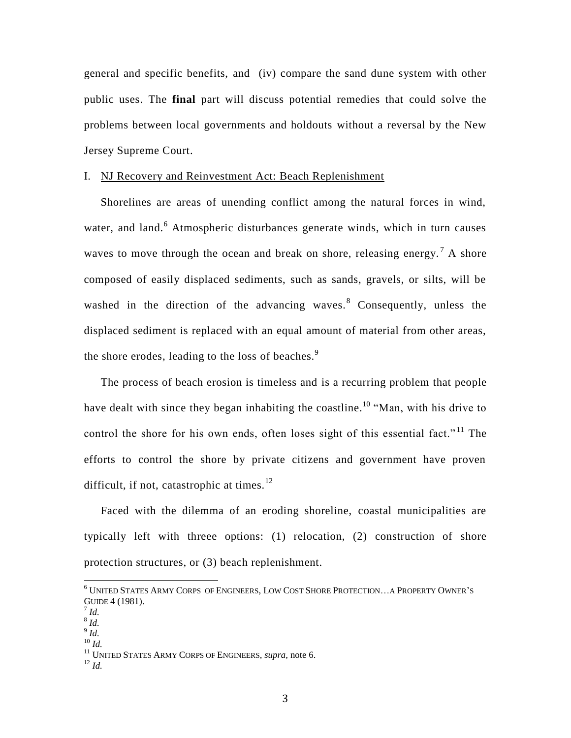general and specific benefits, and (iv) compare the sand dune system with other public uses. The **final** part will discuss potential remedies that could solve the problems between local governments and holdouts without a reversal by the New Jersey Supreme Court.

#### I. NJ Recovery and Reinvestment Act: Beach Replenishment

Shorelines are areas of unending conflict among the natural forces in wind, water, and land.<sup>6</sup> Atmospheric disturbances generate winds, which in turn causes waves to move through the ocean and break on shore, releasing energy.<sup>7</sup> A shore composed of easily displaced sediments, such as sands, gravels, or silts, will be washed in the direction of the advancing waves.<sup>8</sup> Consequently, unless the displaced sediment is replaced with an equal amount of material from other areas, the shore erodes, leading to the loss of beaches. $9$ 

The process of beach erosion is timeless and is a recurring problem that people have dealt with since they began inhabiting the coastline.<sup>10</sup> "Man, with his drive to control the shore for his own ends, often loses sight of this essential fact."<sup>11</sup> The efforts to control the shore by private citizens and government have proven difficult, if not, catastrophic at times.<sup>12</sup>

Faced with the dilemma of an eroding shoreline, coastal municipalities are typically left with threee options: (1) relocation, (2) construction of shore protection structures, or (3) beach replenishment.

l

- 8 *Id.*
- 9 *Id.* <sup>10</sup> *Id.*

 $^{12}$  *Id.* 

 $^6$  UNITED STATES ARMY CORPS OF ENGINEERS, LOW COST SHORE PROTECTION...A PROPERTY OWNER'S GUIDE 4 (1981).

<sup>7</sup> *Id.*

<sup>11</sup> UNITED STATES ARMY CORPS OF ENGINEERS*, supra,* note 6.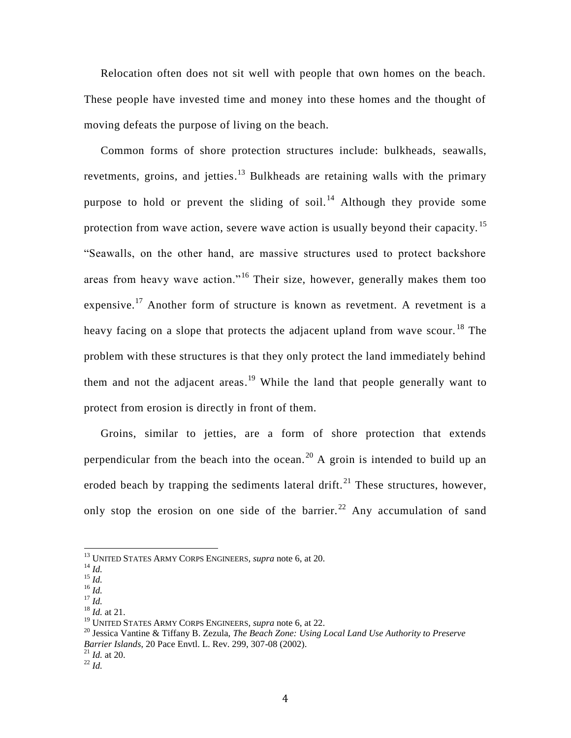Relocation often does not sit well with people that own homes on the beach. These people have invested time and money into these homes and the thought of moving defeats the purpose of living on the beach.

Common forms of shore protection structures include: bulkheads, seawalls, revetments, groins, and jetties.<sup>13</sup> Bulkheads are retaining walls with the primary purpose to hold or prevent the sliding of soil.<sup>14</sup> Although they provide some protection from wave action, severe wave action is usually beyond their capacity. <sup>15</sup> "Seawalls, on the other hand, are massive structures used to protect backshore areas from heavy wave action."<sup>16</sup> Their size, however, generally makes them too expensive.<sup>17</sup> Another form of structure is known as revetment. A revetment is a heavy facing on a slope that protects the adjacent upland from wave scour.<sup>18</sup> The problem with these structures is that they only protect the land immediately behind them and not the adjacent areas.<sup>19</sup> While the land that people generally want to protect from erosion is directly in front of them.

Groins, similar to jetties, are a form of shore protection that extends perpendicular from the beach into the ocean.<sup>20</sup> A groin is intended to build up an eroded beach by trapping the sediments lateral drift.<sup>21</sup> These structures, however, only stop the erosion on one side of the barrier.<sup>22</sup> Any accumulation of sand

<sup>13</sup> UNITED STATES ARMY CORPS ENGINEERS*, supra* note 6, at 20.

<sup>14</sup> *Id.*

 $^{15}$  *Id.* <sup>16</sup> *Id.*

 $^{17}$  *Id.* 

<sup>18</sup> *Id.* at 21.

<sup>19</sup> UNITED STATES ARMY CORPS ENGINEERS*, supra* note 6, at 22.

<sup>20</sup> Jessica Vantine & Tiffany B. Zezula, *The Beach Zone: Using Local Land Use Authority to Preserve Barrier Islands*, 20 Pace Envtl. L. Rev. 299, 307-08 (2002).

<sup>21</sup> *Id.* at 20.  $^{22}$  *Id.*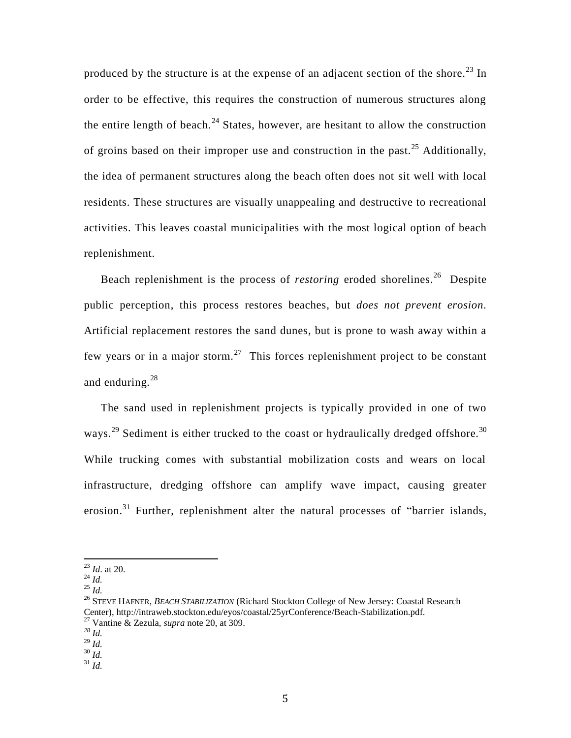produced by the structure is at the expense of an adjacent section of the shore.<sup>23</sup> In order to be effective, this requires the construction of numerous structures along the entire length of beach. $^{24}$  States, however, are hesitant to allow the construction of groins based on their improper use and construction in the past.<sup>25</sup> Additionally, the idea of permanent structures along the beach often does not sit well with local residents. These structures are visually unappealing and destructive to recreational activities. This leaves coastal municipalities with the most logical option of beach replenishment.

Beach replenishment is the process of *restoring* eroded shorelines. 26 Despite public perception, this process restores beaches, but *does not prevent erosion*. Artificial replacement restores the sand dunes, but is prone to wash away within a few years or in a major storm.<sup>27</sup> This forces replenishment project to be constant and enduring.<sup>28</sup>

The sand used in replenishment projects is typically provided in one of two ways.<sup>29</sup> Sediment is either trucked to the coast or hydraulically dredged offshore.<sup>30</sup> While trucking comes with substantial mobilization costs and wears on local infrastructure, dredging offshore can amplify wave impact, causing greater erosion.<sup>31</sup> Further, replenishment alter the natural processes of "barrier islands,

<sup>25</sup> *Id.*

 $\overline{a}$ 

<sup>31</sup> *Id.*

<sup>23</sup> *Id*. at 20.

<sup>24</sup> *Id.*

<sup>26</sup> STEVE HAFNER, *BEACH STABILIZATION* (Richard Stockton College of New Jersey: Coastal Research Center), http://intraweb.stockton.edu/eyos/coastal/25yrConference/Beach-Stabilization.pdf. <sup>27</sup> Vantine & Zezula, *supra* note 20, at 309.

*<sup>28</sup> Id.*

 $^{29}$  *Id.* 

 $30 \frac{\ldots}{\ldots}$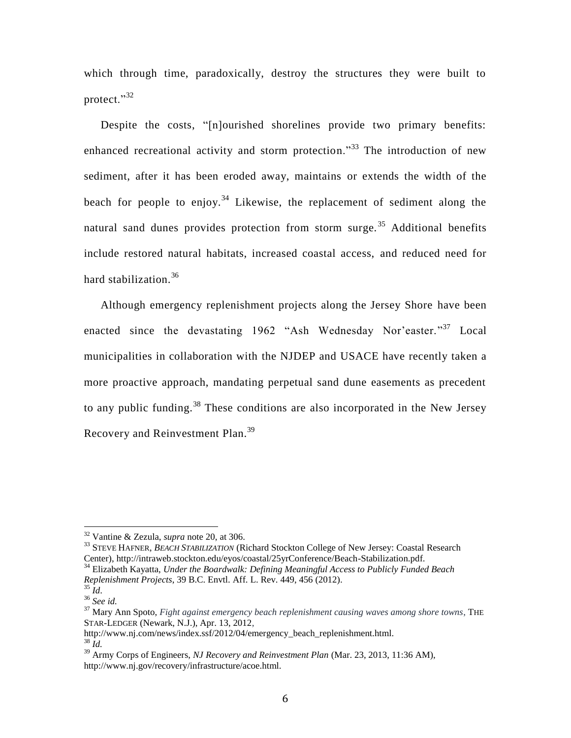which through time, paradoxically, destroy the structures they were built to protect."<sup>32</sup>

Despite the costs, "[n]ourished shorelines provide two primary benefits: enhanced recreational activity and storm protection.<sup>33</sup> The introduction of new sediment, after it has been eroded away, maintains or extends the width of the beach for people to enjoy.<sup>34</sup> Likewise, the replacement of sediment along the natural sand dunes provides protection from storm surge.<sup>35</sup> Additional benefits include restored natural habitats, increased coastal access, and reduced need for hard stabilization.<sup>36</sup>

Although emergency replenishment projects along the Jersey Shore have been enacted since the devastating 1962 "Ash Wednesday Nor'easter."<sup>37</sup> Local municipalities in collaboration with the NJDEP and USACE have recently taken a more proactive approach, mandating perpetual sand dune easements as precedent to any public funding.<sup>38</sup> These conditions are also incorporated in the New Jersey Recovery and Reinvestment Plan.<sup>39</sup>

<sup>33</sup> STEVE HAFNER, *BEACH STABILIZATION* (Richard Stockton College of New Jersey: Coastal Research Center), http://intraweb.stockton.edu/eyos/coastal/25yrConference/Beach-Stabilization.pdf.

<sup>34</sup> Elizabeth Kayatta, *Under the Boardwalk: Defining Meaningful Access to Publicly Funded Beach Replenishment Projects*, 39 B.C. Envtl. Aff. L. Rev. 449, 456 (2012).

<sup>32</sup> Vantine & Zezula, *supra* note 20, at 306.

 $35 \dot{1}$ d.

<sup>36</sup> *See id.*

<sup>37</sup> Mary Ann Spoto, *Fight against emergency beach replenishment causing waves among shore towns*, THE STAR-LEDGER (Newark, N.J.), Apr. 13, 2012,

http://www.nj.com/news/index.ssf/2012/04/emergency\_beach\_replenishment.html.  $38 \tilde{I}$ d.

<sup>39</sup> Army Corps of Engineers, *NJ Recovery and Reinvestment Plan* (Mar. 23, 2013, 11:36 AM), http://www.nj.gov/recovery/infrastructure/acoe.html.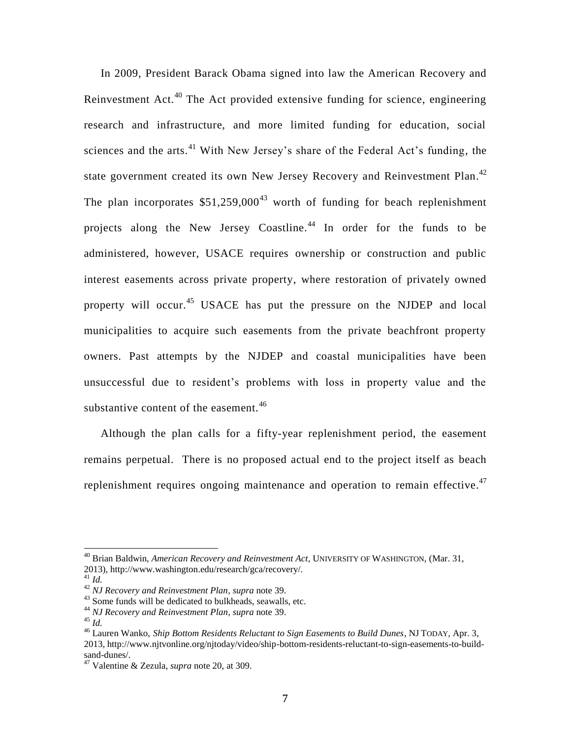In 2009, President Barack Obama signed into law the American Recovery and Reinvestment Act.<sup>40</sup> The Act provided extensive funding for science, engineering research and infrastructure, and more limited funding for education, social sciences and the arts. $41$  With New Jersey's share of the Federal Act's funding, the state government created its own New Jersey Recovery and Reinvestment Plan.<sup>42</sup> The plan incorporates  $$51,259,000<sup>43</sup>$  worth of funding for beach replenishment projects along the New Jersey Coastline.<sup>44</sup> In order for the funds to be administered, however, USACE requires ownership or construction and public interest easements across private property, where restoration of privately owned property will occur.<sup>45</sup> USACE has put the pressure on the NJDEP and local municipalities to acquire such easements from the private beachfront property owners. Past attempts by the NJDEP and coastal municipalities have been unsuccessful due to resident's problems with loss in property value and the substantive content of the easement. $46$ 

Although the plan calls for a fifty-year replenishment period, the easement remains perpetual. There is no proposed actual end to the project itself as beach replenishment requires ongoing maintenance and operation to remain effective.<sup>47</sup>

<sup>40</sup> Brian Baldwin, *American Recovery and Reinvestment Act*, UNIVERSITY OF WASHINGTON, (Mar. 31, 2013), http://www.washington.edu/research/gca/recovery/.

<sup>41</sup> *Id.*

<sup>42</sup> *NJ Recovery and Reinvestment Plan*, *supra* note 39.

<sup>&</sup>lt;sup>43</sup> Some funds will be dedicated to bulkheads, seawalls, etc.

<sup>44</sup> *NJ Recovery and Reinvestment Plan*, *supra* note 39.

<sup>45</sup> *Id.*

<sup>46</sup> Lauren Wanko, *Ship Bottom Residents Reluctant to Sign Easements to Build Dunes*, NJ TODAY, Apr. 3, 2013, http://www.njtvonline.org/njtoday/video/ship-bottom-residents-reluctant-to-sign-easements-to-buildsand-dunes/.

<sup>47</sup> Valentine & Zezula, *supra* note 20, at 309.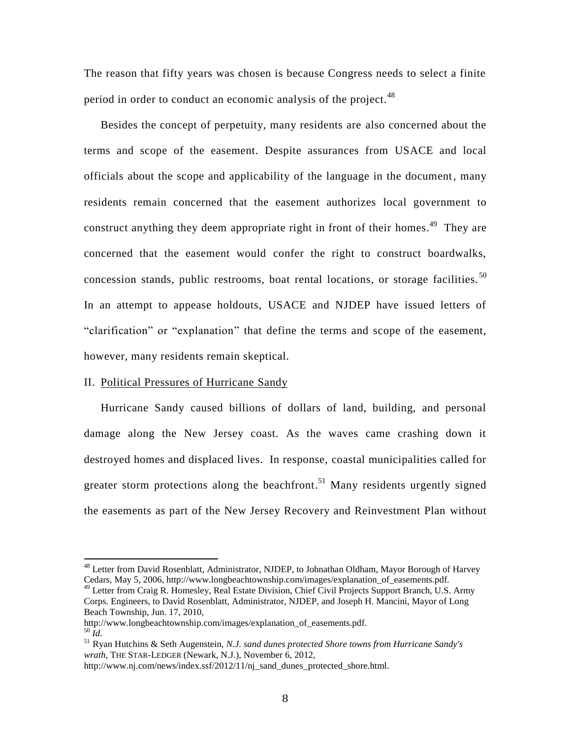The reason that fifty years was chosen is because Congress needs to select a finite period in order to conduct an economic analysis of the project.<sup>48</sup>

Besides the concept of perpetuity, many residents are also concerned about the terms and scope of the easement. Despite assurances from USACE and local officials about the scope and applicability of the language in the document, many residents remain concerned that the easement authorizes local government to construct anything they deem appropriate right in front of their homes.<sup>49</sup> They are concerned that the easement would confer the right to construct boardwalks, concession stands, public restrooms, boat rental locations, or storage facilities.<sup>50</sup> In an attempt to appease holdouts, USACE and NJDEP have issued letters of "clarification" or "explanation" that define the terms and scope of the easement, however, many residents remain skeptical.

#### II. Political Pressures of Hurricane Sandy

 $\overline{a}$ 

Hurricane Sandy caused billions of dollars of land, building, and personal damage along the New Jersey coast. As the waves came crashing down it destroyed homes and displaced lives. In response, coastal municipalities called for greater storm protections along the beachfront.<sup>51</sup> Many residents urgently signed the easements as part of the New Jersey Recovery and Reinvestment Plan without

<sup>&</sup>lt;sup>48</sup> Letter from David Rosenblatt, Administrator, NJDEP, to Johnathan Oldham, Mayor Borough of Harvey Cedars, May 5, 2006, http://www.longbeachtownship.com/images/explanation\_of\_easements.pdf. <sup>49</sup> Letter from Craig R. Homesley, Real Estate Division, Chief Civil Projects Support Branch, U.S. Army

Corps. Engineers, to David Rosenblatt, Administrator, NJDEP, and Joseph H. Mancini, Mayor of Long Beach Township, Jun. 17, 2010,

http://www.longbeachtownship.com/images/explanation\_of\_easements.pdf.  $50 \overline{Id}$ 

<sup>51</sup> Ryan Hutchins & Seth Augenstein, *N.J. sand dunes protected Shore towns from Hurricane Sandy's wrath*, THE STAR-LEDGER (Newark, N.J.), November 6, 2012,

http://www.nj.com/news/index.ssf/2012/11/nj\_sand\_dunes\_protected\_shore.html.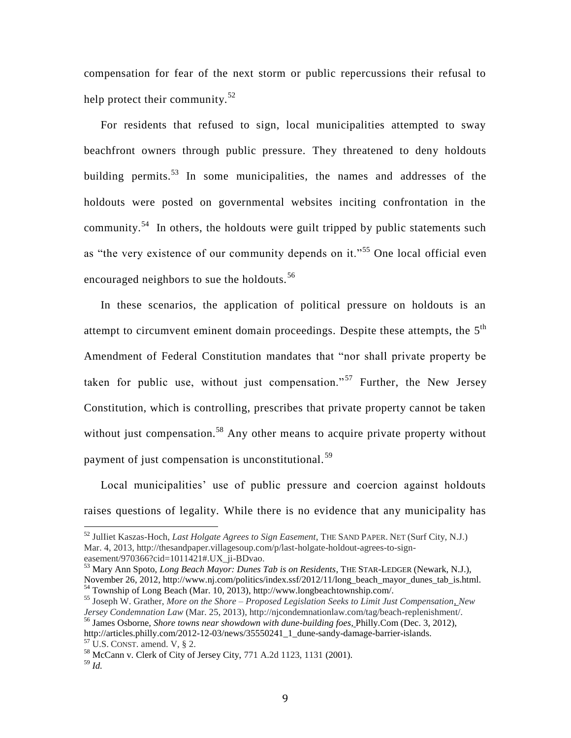compensation for fear of the next storm or public repercussions their refusal to help protect their community.<sup>52</sup>

For residents that refused to sign, local municipalities attempted to sway beachfront owners through public pressure. They threatened to deny holdouts building permits.<sup>53</sup> In some municipalities, the names and addresses of the holdouts were posted on governmental websites inciting confrontation in the community.<sup>54</sup> In others, the holdouts were guilt tripped by public statements such as "the very existence of our community depends on it."<sup>55</sup> One local official even encouraged neighbors to sue the holdouts.<sup>56</sup>

In these scenarios, the application of political pressure on holdouts is an attempt to circumvent eminent domain proceedings. Despite these attempts, the  $5<sup>th</sup>$ Amendment of Federal Constitution mandates that "nor shall private property be taken for public use, without just compensation."<sup>57</sup> Further, the New Jersey Constitution, which is controlling, prescribes that private property cannot be taken without just compensation.<sup>58</sup> Any other means to acquire private property without payment of just compensation is unconstitutional.<sup>59</sup>

Local municipalities' use of public pressure and coercion against holdouts raises questions of legality. While there is no evidence that any municipality has

<sup>52</sup> JulIiet Kaszas-Hoch, *Last Holgate Agrees to Sign Easement*, THE SAND PAPER. NET (Surf City, N.J.) Mar. 4, 2013, http://thesandpaper.villagesoup.com/p/last-holgate-holdout-agrees-to-signeasement/970366?cid=1011421#.UX\_ji-BDvao.

<sup>53</sup> Mary Ann Spoto, *Long Beach Mayor: Dunes Tab is on Residents*, THE STAR-LEDGER (Newark, N.J.), November 26, 2012, http://www.nj.com/politics/index.ssf/2012/11/long\_beach\_mayor\_dunes\_tab\_is.html. <sup>54</sup> Township of Long Beach (Mar. 10, 2013), http://www.longbeachtownship.com/.

<sup>55</sup> Joseph W. Grather, *More on the Shore – Proposed Legislation Seeks to Limit Just Compensation, New Jersey Condemnation Law* (Mar. 25, 2013), http://njcondemnationlaw.com/tag/beach-replenishment/. <sup>56</sup> James Osborne, *Shore towns near showdown with dune-building foes,* Philly.Com (Dec. 3, 2012),

http://articles.philly.com/2012-12-03/news/35550241\_1\_dune-sandy-damage-barrier-islands.  $57$  U.S. CONST. amend. V,  $\S$  2.

<sup>58</sup> McCann v. Clerk of City of Jersey City, 771 A.2d 1123, 1131 (2001).

<sup>59</sup> *Id.*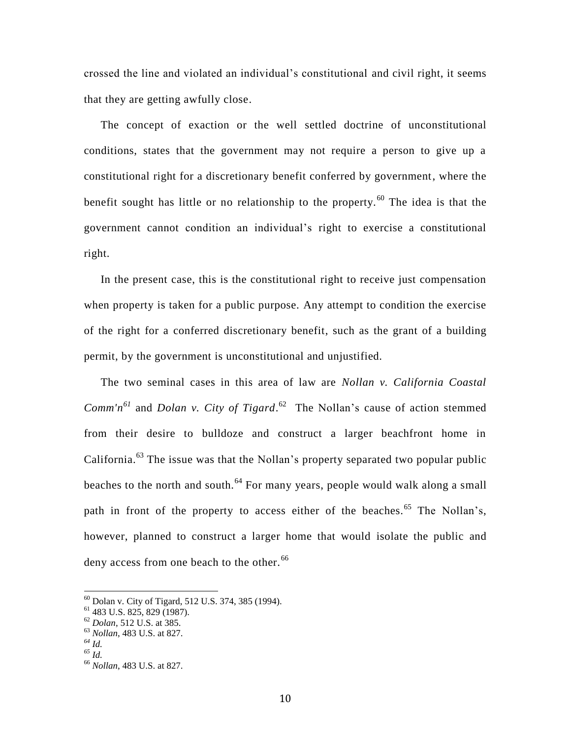crossed the line and violated an individual's constitutional and civil right, it seems that they are getting awfully close.

The concept of exaction or the well settled doctrine of unconstitutional conditions, states that the government may not require a person to give up a constitutional right for a discretionary benefit conferred by government, where the benefit sought has little or no relationship to the property.<sup>60</sup> The idea is that the government cannot condition an individual's right to exercise a constitutional right.

In the present case, this is the constitutional right to receive just compensation when property is taken for a public purpose. Any attempt to condition the exercise of the right for a conferred discretionary benefit, such as the grant of a building permit, by the government is unconstitutional and unjustified.

The two seminal cases in this area of law are *Nollan v. California Coastal Comm'n*<sup> $61$ </sup> and *Dolan v. City of Tigard*.<sup> $62$ </sup> The Nollan's cause of action stemmed from their desire to bulldoze and construct a larger beachfront home in California.<sup>63</sup> The issue was that the Nollan's property separated two popular public beaches to the north and south.<sup>64</sup> For many years, people would walk along a small path in front of the property to access either of the beaches.<sup>65</sup> The Nollan's, however, planned to construct a larger home that would isolate the public and deny access from one beach to the other.<sup>66</sup>

 $^{60}$  Dolan v. City of Tigard, 512 U.S. 374, 385 (1994).

<sup>61</sup> 483 U.S. 825, 829 (1987).

<sup>62</sup> *Dolan*, 512 U.S. at 385.

<sup>63</sup> *Nollan*, 483 U.S. at 827.

*<sup>64</sup> Id.*

*<sup>65</sup> Id.*

<sup>66</sup> *Nollan*, 483 U.S. at 827.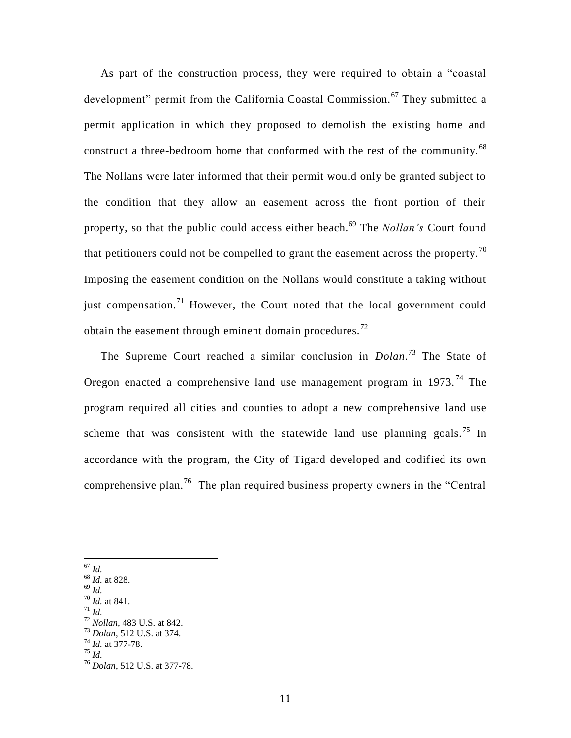As part of the construction process, they were required to obtain a "coastal development" permit from the California Coastal Commission.<sup>67</sup> They submitted a permit application in which they proposed to demolish the existing home and construct a three-bedroom home that conformed with the rest of the community.  $^{68}$ The Nollans were later informed that their permit would only be granted subject to the condition that they allow an easement across the front portion of their property, so that the public could access either beach.<sup>69</sup> The *Nollan's* Court found that petitioners could not be compelled to grant the easement across the property.<sup>70</sup> Imposing the easement condition on the Nollans would constitute a taking without just compensation.<sup>71</sup> However, the Court noted that the local government could obtain the easement through eminent domain procedures.<sup>72</sup>

The Supreme Court reached a similar conclusion in *Dolan*. <sup>73</sup> The State of Oregon enacted a comprehensive land use management program in  $1973$ .<sup>74</sup> The program required all cities and counties to adopt a new comprehensive land use scheme that was consistent with the statewide land use planning goals.<sup>75</sup> In accordance with the program, the City of Tigard developed and codified its own comprehensive plan.<sup>76</sup> The plan required business property owners in the "Central"

<sup>67</sup> *Id.*

 $\overline{a}$ 

- <sup>68</sup> *Id.* at 828.
- <sup>69</sup> *Id.*
- <sup>70</sup> *Id.* at 841. <sup>71</sup> *Id.*
- 

<sup>75</sup> *Id.*

<sup>72</sup> *Nollan,* 483 U.S. at 842. <sup>73</sup> *Dolan*, 512 U.S. at 374.

<sup>74</sup> *Id.* at 377-78.

<sup>76</sup> *Dolan*, 512 U.S. at 377-78.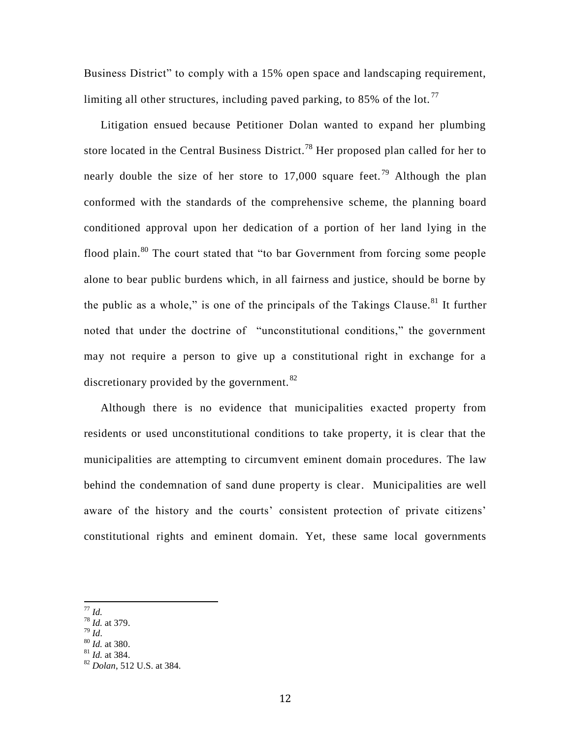Business District" to comply with a 15% open space and landscaping requirement, limiting all other structures, including paved parking, to 85% of the lot.<sup>77</sup>

Litigation ensued because Petitioner Dolan wanted to expand her plumbing store located in the Central Business District.<sup>78</sup> Her proposed plan called for her to nearly double the size of her store to 17,000 square feet.<sup>79</sup> Although the plan conformed with the standards of the comprehensive scheme, the planning board conditioned approval upon her dedication of a portion of her land lying in the flood plain.<sup>80</sup> The court stated that "to bar Government from forcing some people alone to bear public burdens which, in all fairness and justice, should be borne by the public as a whole," is one of the principals of the Takings Clause.<sup>81</sup> It further noted that under the doctrine of "unconstitutional conditions," the government may not require a person to give up a constitutional right in exchange for a discretionary provided by the government. $82$ 

Although there is no evidence that municipalities exacted property from residents or used unconstitutional conditions to take property, it is clear that the municipalities are attempting to circumvent eminent domain procedures. The law behind the condemnation of sand dune property is clear. Municipalities are well aware of the history and the courts' consistent protection of private citizens' constitutional rights and eminent domain. Yet, these same local governments

<sup>79</sup> *Id*.

 $81$  *Id.* at 384.

 $\overline{a}$ <sup>77</sup> *Id.*

 $^{78}$  *Id.* at 379.

<sup>80</sup> *Id.* at 380.

<sup>82</sup> *Dolan*, 512 U.S. at 384.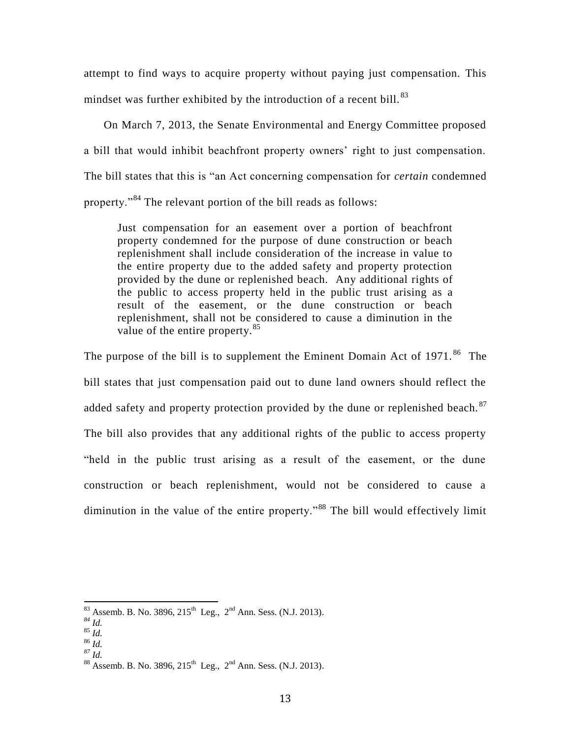attempt to find ways to acquire property without paying just compensation. This mindset was further exhibited by the introduction of a recent bill.<sup>83</sup>

On March 7, 2013, the Senate Environmental and Energy Committee proposed a bill that would inhibit beachfront property owners' right to just compensation. The bill states that this is "an Act concerning compensation for *certain* condemned property."<sup>84</sup> The relevant portion of the bill reads as follows:

Just compensation for an easement over a portion of beachfront property condemned for the purpose of dune construction or beach replenishment shall include consideration of the increase in value to the entire property due to the added safety and property protection provided by the dune or replenished beach. Any additional rights of the public to access property held in the public trust arising as a result of the easement, or the dune construction or beach replenishment, shall not be considered to cause a diminution in the value of the entire property.<sup>85</sup>

The purpose of the bill is to supplement the Eminent Domain Act of  $1971$ .<sup>86</sup> The bill states that just compensation paid out to dune land owners should reflect the added safety and property protection provided by the dune or replenished beach.  $87$ The bill also provides that any additional rights of the public to access property "held in the public trust arising as a result of the easement, or the dune construction or beach replenishment, would not be considered to cause a diminution in the value of the entire property."<sup>88</sup> The bill would effectively limit

 $\overline{a}$ 

 $\int^{1}$  86 *Id.* 

 $83$  Assemb. B. No. 3896, 215<sup>th</sup> Leg., 2<sup>nd</sup> Ann. Sess. (N.J. 2013).

*<sup>84</sup> Id.*

<sup>85</sup> *Id.*

*<sup>87</sup> Id.*

 $88$  Assemb. B. No. 3896, 215<sup>th</sup> Leg., 2<sup>nd</sup> Ann. Sess. (N.J. 2013).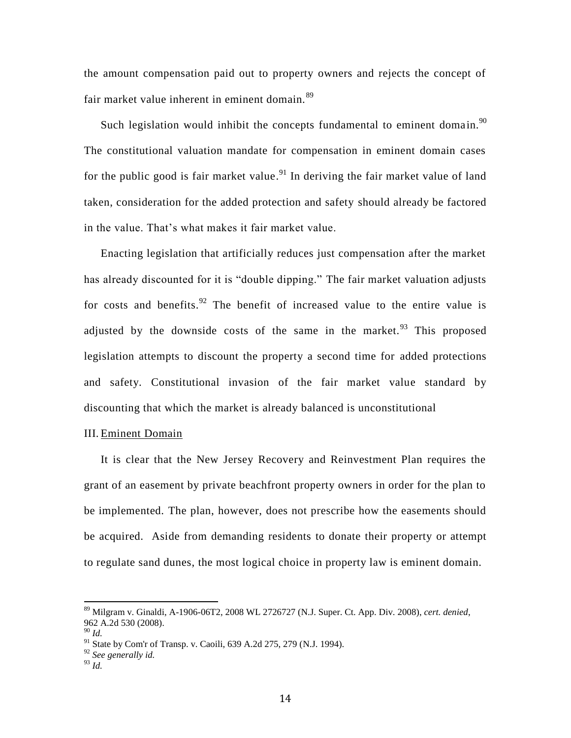the amount compensation paid out to property owners and rejects the concept of fair market value inherent in eminent domain.<sup>89</sup>

Such legislation would inhibit the concepts fundamental to eminent domain. $^{90}$ The constitutional valuation mandate for compensation in eminent domain cases for the public good is fair market value.<sup>91</sup> In deriving the fair market value of land taken, consideration for the added protection and safety should already be factored in the value. That's what makes it fair market value.

Enacting legislation that artificially reduces just compensation after the market has already discounted for it is "double dipping." The fair market valuation adjusts for costs and benefits. <sup>92</sup> The benefit of increased value to the entire value is adjusted by the downside costs of the same in the market.<sup>93</sup> This proposed legislation attempts to discount the property a second time for added protections and safety. Constitutional invasion of the fair market value standard by discounting that which the market is already balanced is unconstitutional

#### III. Eminent Domain

It is clear that the New Jersey Recovery and Reinvestment Plan requires the grant of an easement by private beachfront property owners in order for the plan to be implemented. The plan, however, does not prescribe how the easements should be acquired. Aside from demanding residents to donate their property or attempt to regulate sand dunes, the most logical choice in property law is eminent domain.

<sup>89</sup> Milgram v. Ginaldi, A-1906-06T2, 2008 WL 2726727 (N.J. Super. Ct. App. Div. 2008), *cert. denied*, 962 A.2d 530 (2008).

<sup>90</sup> *Id.*

<sup>&</sup>lt;sup>91</sup> State by Com'r of Transp. v. Caoili, 639 A.2d 275, 279 (N.J. 1994).

<sup>92</sup> *See generally id.*

<sup>93</sup> *Id.*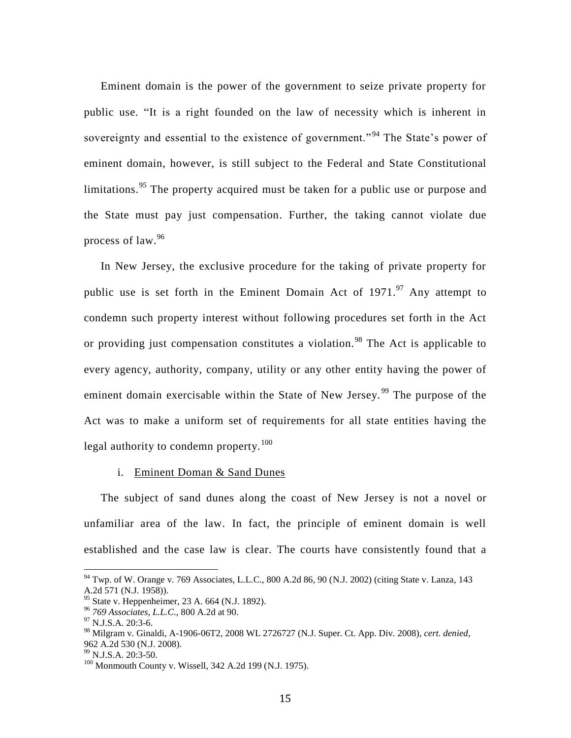Eminent domain is the power of the government to seize private property for public use. "It is a right founded on the law of necessity which is inherent in sovereignty and essential to the existence of government."<sup>94</sup> The State's power of eminent domain, however, is still subject to the Federal and State Constitutional limitations.<sup>95</sup> The property acquired must be taken for a public use or purpose and the State must pay just compensation. Further, the taking cannot violate due process of law.<sup>96</sup>

In New Jersey, the exclusive procedure for the taking of private property for public use is set forth in the Eminent Domain Act of  $1971$ .<sup>97</sup> Any attempt to condemn such property interest without following procedures set forth in the Act or providing just compensation constitutes a violation.<sup>98</sup> The Act is applicable to every agency, authority, company, utility or any other entity having the power of eminent domain exercisable within the State of New Jersey.<sup>99</sup> The purpose of the Act was to make a uniform set of requirements for all state entities having the legal authority to condemn property.<sup>100</sup>

#### i. Eminent Doman & Sand Dunes

The subject of sand dunes along the coast of New Jersey is not a novel or unfamiliar area of the law. In fact, the principle of eminent domain is well established and the case law is clear. The courts have consistently found that a

<sup>94</sup> Twp. of W. Orange v. 769 Associates, L.L.C., 800 A.2d 86, 90 (N.J. 2002) (citing State v. Lanza*,* 143 A.2d 571 (N.J. 1958)).

<sup>95</sup> State v. Heppenheimer, 23 A. 664 (N.J. 1892).

<sup>96</sup> *769 Associates, L.L.C*., 800 A.2d at 90.

 $^{97}$  N.J.S.A. 20:3-6.

<sup>98</sup> Milgram v. Ginaldi, A-1906-06T2, 2008 WL 2726727 (N.J. Super. Ct. App. Div. 2008), *cert. denied*, 962 A.2d 530 (N.J. 2008).

<sup>99</sup> [N.J.S.A. 20:3-50.](https://a.next.westlaw.com/Link/Document/FullText?findType=L&pubNum=1000045&cite=NJST20%3a3-50&originatingDoc=I57743612467611daa6e3e26d71ba6232&refType=LQ&originationContext=document&transitionType=DocumentItem&contextData=(sc.Search))

<sup>&</sup>lt;sup>100</sup> Monmouth County v. Wissell, 342 A.2d 199 (N.J. 1975).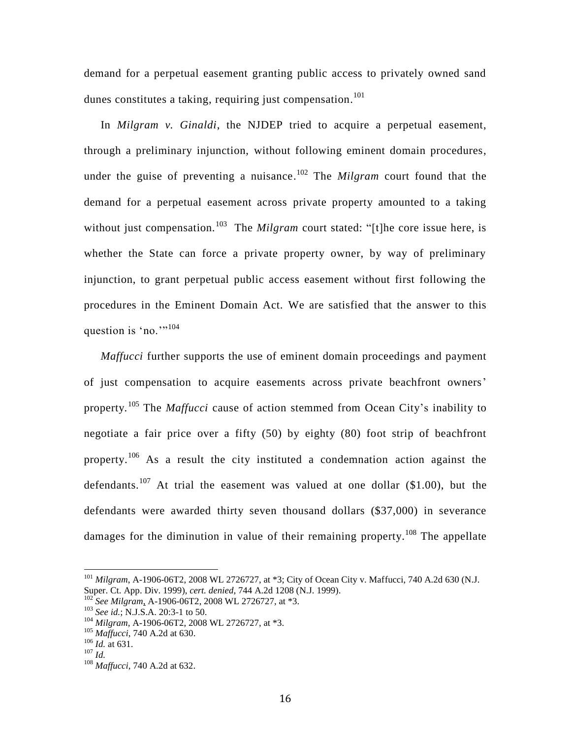demand for a perpetual easement granting public access to privately owned sand dunes constitutes a taking, requiring just compensation.<sup>101</sup>

In *Milgram v. Ginaldi*, the NJDEP tried to acquire a perpetual easement, through a preliminary injunction, without following eminent domain procedures, under the guise of preventing a nuisance. <sup>102</sup> The *Milgram* court found that the demand for a perpetual easement across private property amounted to a taking without just compensation.<sup>103</sup> The *Milgram* court stated: "[t]he core issue here, is whether the State can force a private property owner, by way of preliminary injunction, to grant perpetual public access easement without first following the procedures in the Eminent Domain Act. We are satisfied that the answer to this question is 'no.'"<sup>104</sup>

*Maffucci* further supports the use of eminent domain proceedings and payment of just compensation to acquire easements across private beachfront owners' property*.* <sup>105</sup> The *Maffucci* cause of action stemmed from Ocean City's inability to negotiate a fair price over a fifty (50) by eighty (80) foot strip of beachfront property.<sup>106</sup> As a result the city instituted a condemnation action against the defendants.<sup>107</sup> At trial the easement was valued at one dollar (\$1.00), but the defendants were awarded thirty seven thousand dollars (\$37,000) in severance damages for the diminution in value of their remaining property.<sup>108</sup> The appellate

<sup>101</sup> *Milgram*, A-1906-06T2, 2008 WL 2726727, at \*3; City of Ocean City v. Maffucci, 740 A.2d 630 (N.J. Super. Ct. App. Div. 1999), *cert. denied*, 744 A.2d 1208 (N.J. 1999).

<sup>102</sup> *See Milgram*, A-1906-06T2, 2008 WL 2726727, at \*3.

<sup>103</sup> *See id.*; N.J.S.A. 20:3-1 to 50.

<sup>104</sup> *Milgram,* A-1906-06T2, 2008 WL 2726727, at \*3.

<sup>105</sup> *Maffucci*, 740 A.2d at 630.

<sup>106</sup> *Id.* at 631.

<sup>107</sup> *Id.*

<sup>108</sup> *Maffucci*, 740 A.2d at 632.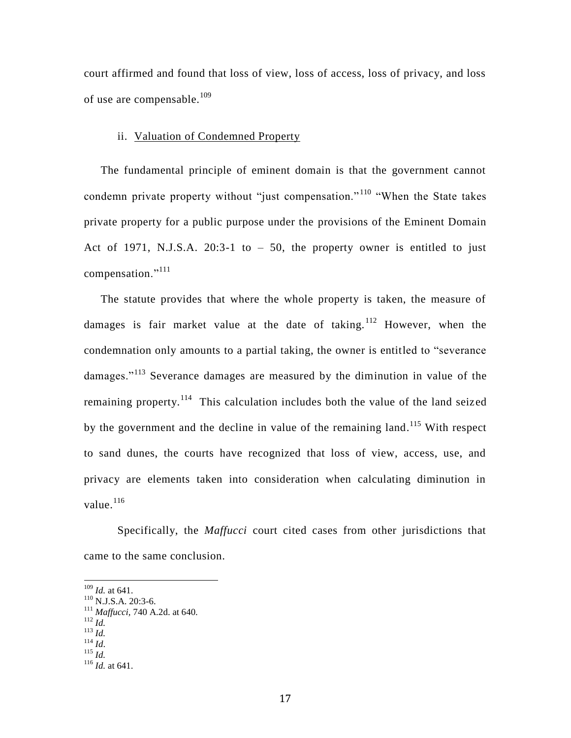court affirmed and found that loss of view, loss of access, loss of privacy, and loss of use are compensable.<sup>109</sup>

#### ii. Valuation of Condemned Property

The fundamental principle of eminent domain is that the government cannot condemn private property without "just compensation."<sup>110</sup> "When the State takes private property for a public purpose under the provisions of the Eminent Domain Act of 1971, N.J.S.A.  $20:3-1$  to  $-50$ , the property owner is entitled to just compensation."<sup>111</sup>

The statute provides that where the whole property is taken, the measure of damages is fair market value at the date of taking. <sup>112</sup> However, when the condemnation only amounts to a partial taking, the owner is entitled to "severance damages."<sup>113</sup> Severance damages are measured by the diminution in value of the remaining property.<sup>114</sup> This calculation includes both the value of the land seized by the government and the decline in value of the remaining land.<sup>115</sup> With respect to sand dunes, the courts have recognized that loss of view, access, use, and privacy are elements taken into consideration when calculating diminution in value.<sup>116</sup>

Specifically, the *Maffucci* court cited cases from other jurisdictions that came to the same conclusion.

<sup>109</sup> *Id.* at 641.

 $110$  N.J.S.A. 20:3-6.

<sup>111</sup> *Maffucci,* 740 A.2d. at 640.

<sup>112</sup> *Id.*

<sup>113</sup> *Id.*

<sup>114</sup> *Id*.  $\int_{115}^{14}$  *Id.* 

<sup>116</sup> *Id.* at 641.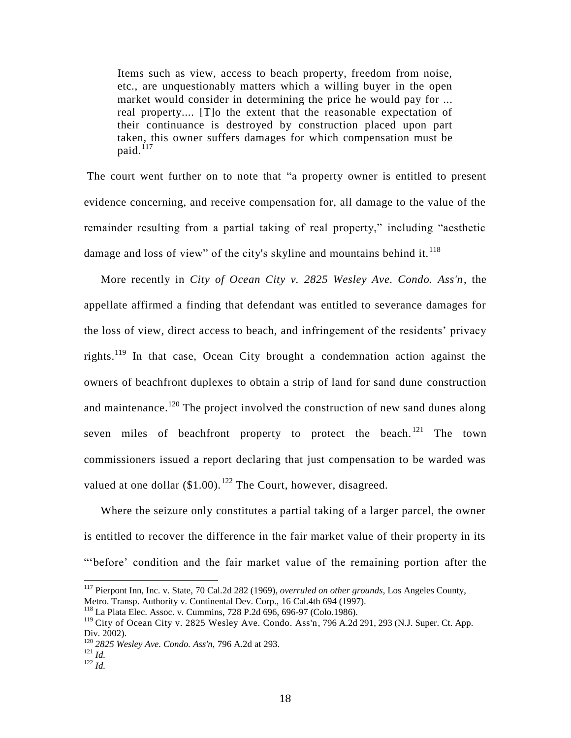Items such as view, access to beach property, freedom from noise, etc., are unquestionably matters which a willing buyer in the open market would consider in determining the price he would pay for ... real property.... [T]o the extent that the reasonable expectation of their continuance is destroyed by construction placed upon part taken, this owner suffers damages for which compensation must be  $p$ aid.<sup>117</sup>

The court went further on to note that "a property owner is entitled to present evidence concerning, and receive compensation for, all damage to the value of the remainder resulting from a partial taking of real property," including "aesthetic damage and loss of view" of the city's skyline and mountains behind it.  $118$ 

More recently in *City of Ocean City v. 2825 Wesley Ave. Condo. Ass'n*, the appellate affirmed a finding that defendant was entitled to severance damages for the loss of view, direct access to beach, and infringement of the residents' privacy rights.<sup>119</sup> In that case, Ocean City brought a condemnation action against the owners of beachfront duplexes to obtain a strip of land for sand dune construction and maintenance.<sup>120</sup> The project involved the construction of new sand dunes along seven miles of beachfront property to protect the beach.<sup>121</sup> The town commissioners issued a report declaring that just compensation to be warded was valued at one dollar  $($1.00).<sup>122</sup>$  The Court, however, disagreed.

Where the seizure only constitutes a partial taking of a larger parcel, the owner is entitled to recover the difference in the fair market value of their property in its "'before' condition and the fair market value of the remaining portion after the

<sup>117</sup> Pierpont Inn, Inc. v. State, 70 Cal.2d 282 (1969), *overruled on other grounds*, Los Angeles County, Metro. Transp. Authority v. Continental Dev. Corp., 16 Cal.4th 694 (1997).

<sup>118</sup> La Plata Elec. Assoc. v. Cummins, 728 P.2d 696, 696-97 (Colo.1986).

<sup>&</sup>lt;sup>119</sup> City of Ocean City v. 2825 Wesley Ave. Condo. Ass'n, 796 A.2d 291, 293 (N.J. Super. Ct. App. Div. 2002).

<sup>120</sup> *2825 Wesley Ave. Condo. Ass'n,* 796 A.2d at 293.

 $121 \overline{Id}$ .

<sup>122</sup> *Id.*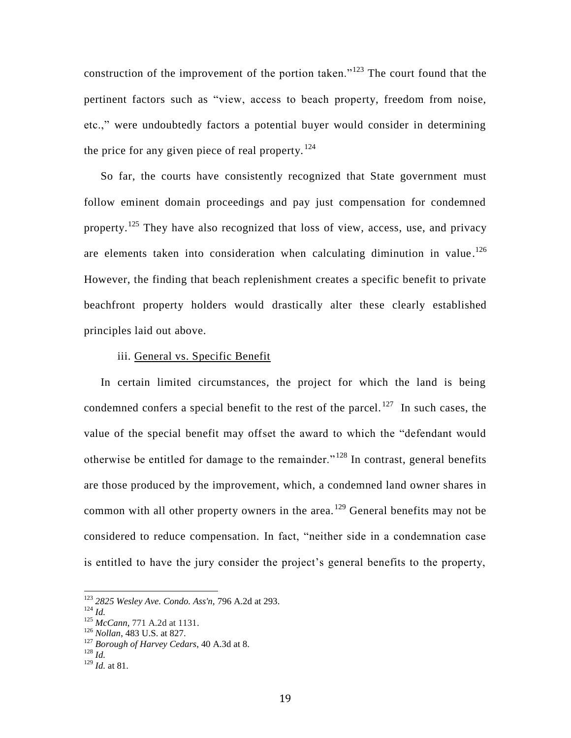construction of the improvement of the portion taken."<sup>123</sup> The court found that the pertinent factors such as "view, access to beach property, freedom from noise, etc.," were undoubtedly factors a potential buyer would consider in determining the price for any given piece of real property.  $124$ 

So far, the courts have consistently recognized that State government must follow eminent domain proceedings and pay just compensation for condemned property.<sup>125</sup> They have also recognized that loss of view, access, use, and privacy are elements taken into consideration when calculating diminution in value.<sup>126</sup> However, the finding that beach replenishment creates a specific benefit to private beachfront property holders would drastically alter these clearly established principles laid out above.

#### iii. General vs. Specific Benefit

In certain limited circumstances, the project for which the land is being condemned confers a special benefit to the rest of the parcel.<sup>127</sup> In such cases, the value of the special benefit may offset the award to which the "defendant would otherwise be entitled for damage to the remainder." <sup>128</sup> In contrast, general benefits are those produced by the improvement, which, a condemned land owner shares in common with all other property owners in the area.<sup>129</sup> General benefits may not be considered to reduce compensation. In fact, "neither side in a condemnation case is entitled to have the jury consider the project's general benefits to the property,

<sup>123</sup> *2825 Wesley Ave. Condo. Ass'n,* 796 A.2d at 293.

<sup>124</sup> *Id.*

<sup>125</sup> *McCann*, 771 A.2d at 1131.

<sup>126</sup> *Nollan*, 483 U.S. at 827.

<sup>127</sup> *Borough of Harvey Cedars*, 40 A.3d at 8.

<sup>128</sup> *Id.*

<sup>129</sup> *Id.* at 81.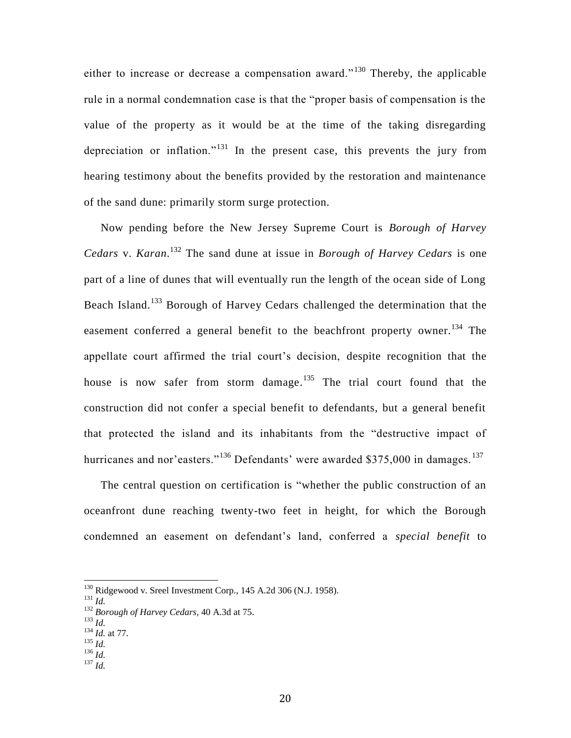either to increase or decrease a compensation award." <sup>130</sup> Thereby, the applicable rule in a normal condemnation case is that the "proper basis of compensation is the value of the property as it would be at the time of the taking disregarding depreciation or inflation."<sup>131</sup> In the present case, this prevents the jury from hearing testimony about the benefits provided by the restoration and maintenance of the sand dune: primarily storm surge protection.

Now pending before the New Jersey Supreme Court is *Borough of Harvey Cedars* v. *Karan*. <sup>132</sup> The sand dune at issue in *Borough of Harvey Cedars* is one part of a line of dunes that will eventually run the length of the ocean side of Long Beach Island.<sup>133</sup> Borough of Harvey Cedars challenged the determination that the easement conferred a general benefit to the beachfront property owner.<sup>134</sup> The appellate court affirmed the trial court's decision, despite recognition that the house is now safer from storm damage.<sup>135</sup> The trial court found that the construction did not confer a special benefit to defendants, but a general benefit that protected the island and its inhabitants from the "destructive impact of hurricanes and nor'easters."<sup>136</sup> Defendants' were awarded \$375,000 in damages.<sup>137</sup>

The central question on certification is "whether the public construction of an oceanfront dune reaching twenty-two feet in height, for which the Borough condemned an easement on defendant's land, conferred a *special benefit* to

l

<sup>133</sup> *Id.*

- <sup>137</sup> *Id.*
- 

 $130$  Ridgewood v. Sreel Investment Corp., 145 A.2d 306 (N.J. 1958).

<sup>131</sup> *Id.*

<sup>132</sup> *Borough of Harvey Cedars*, 40 A.3d at 75.

<sup>134</sup> *Id.* at 77.

<sup>135</sup> *Id.*  $136$   $\frac{1}{10}$ .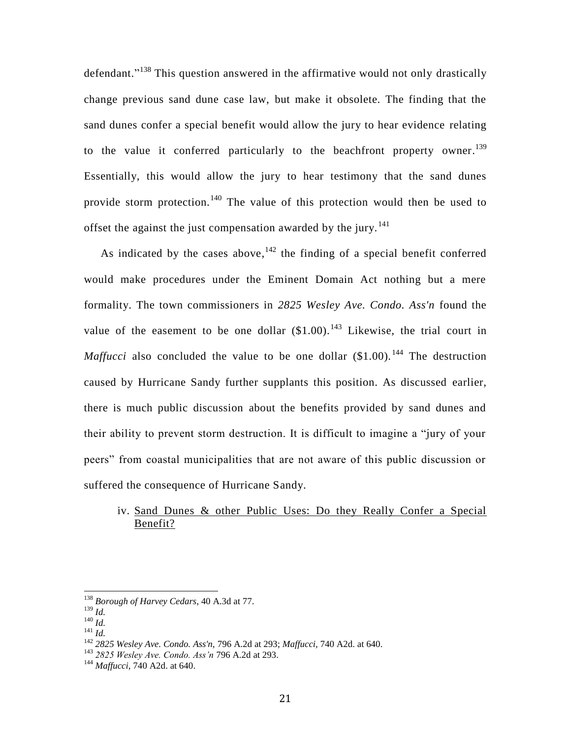defendant."<sup>138</sup> This question answered in the affirmative would not only drastically change previous sand dune case law, but make it obsolete. The finding that the sand dunes confer a special benefit would allow the jury to hear evidence relating to the value it conferred particularly to the beachfront property owner.<sup>139</sup> Essentially, this would allow the jury to hear testimony that the sand dunes provide storm protection.<sup>140</sup> The value of this protection would then be used to offset the against the just compensation awarded by the jury.<sup>141</sup>

As indicated by the cases above,  $142$  the finding of a special benefit conferred would make procedures under the Eminent Domain Act nothing but a mere formality. The town commissioners in *2825 Wesley Ave. Condo. Ass'n* found the value of the easement to be one dollar  $(\$1.00).^{143}$  Likewise, the trial court in *Maffucci* also concluded the value to be one dollar  $(\$1.00)$ .<sup>144</sup> The destruction caused by Hurricane Sandy further supplants this position. As discussed earlier, there is much public discussion about the benefits provided by sand dunes and their ability to prevent storm destruction. It is difficult to imagine a "jury of your peers" from coastal municipalities that are not aware of this public discussion or suffered the consequence of Hurricane Sandy.

### iv. Sand Dunes & other Public Uses: Do they Really Confer a Special Benefit?

<sup>138</sup> *Borough of Harvey Cedars*, 40 A.3d at 77.

<sup>139</sup> *Id.*

<sup>140</sup> *Id.*

<sup>141</sup> *Id.*

<sup>142</sup> *2825 Wesley Ave. Condo. Ass'n,* 796 A.2d at 293; *Maffucci,* 740 A2d. at 640.

<sup>143</sup> *2825 Wesley Ave. Condo. Ass'n* 796 A.2d at 293.

<sup>144</sup> *Maffucci*, 740 A2d. at 640.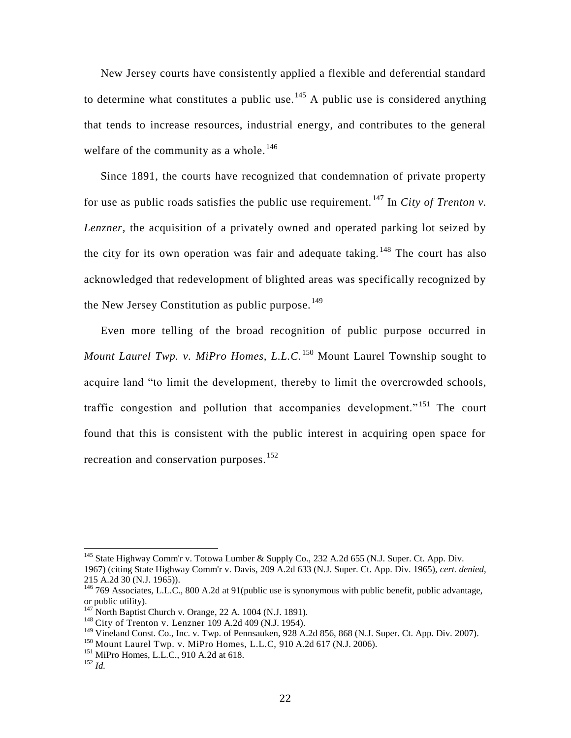New Jersey courts have consistently applied a flexible and deferential standard to determine what constitutes a public use.<sup>145</sup> A public use is considered anything that tends to increase resources, industrial energy, and contributes to the general welfare of the community as a whole.<sup>146</sup>

Since 1891, the courts have recognized that condemnation of private property for use as public roads satisfies the public use requirement.<sup>147</sup> In *City of Trenton v*. *Lenzner,* the acquisition of a privately owned and operated parking lot seized by the city for its own operation was fair and adequate taking.  $148$  The court has also acknowledged that redevelopment of blighted areas was specifically recognized by the New Jersey Constitution as public purpose.<sup>149</sup>

Even more telling of the broad recognition of public purpose occurred in *Mount Laurel Twp. v. MiPro Homes, L.L.C.*<sup>150</sup> Mount Laurel Township sought to acquire land "to limit the development, thereby to limit the overcrowded schools, traffic congestion and pollution that accompanies development." <sup>151</sup> The court found that this is consistent with the public interest in acquiring open space for recreation and conservation purposes.<sup>152</sup>

<sup>150</sup> Mount Laurel Twp. v. MiPro Homes, L.L.C, 910 A.2d 617 (N.J. 2006).

<sup>&</sup>lt;sup>145</sup> State Highway Comm'r v. Totowa Lumber & Supply Co., 232 A.2d 655 (N.J. Super. Ct. App. Div.

<sup>1967) (</sup>citing State Highway Comm'r v. Davis, 209 A.2d 633 (N.J. Super. Ct. App. Div. 1965), *cert. denied*, 215 A.2d 30 (N.J. 1965)).

<sup>&</sup>lt;sup>146</sup> 769 Associates, L.L.C., 800 A.2d at 91(public use is synonymous with public benefit, public advantage, or public utility).

North Baptist Church v. Orange, 22 A. 1004 (N.J. 1891).

<sup>&</sup>lt;sup>148</sup> City of Trenton v. Lenzner 109 A.2d 409 (N.J. 1954).

<sup>&</sup>lt;sup>149</sup> Vineland Const. Co., Inc. v. Twp. of Pennsauken, 928 A.2d 856, 868 (N.J. Super. Ct. App. Div. 2007).

 $151$  MiPro Homes, L.L.C., 910 A.2d at 618.

<sup>152</sup> *Id.*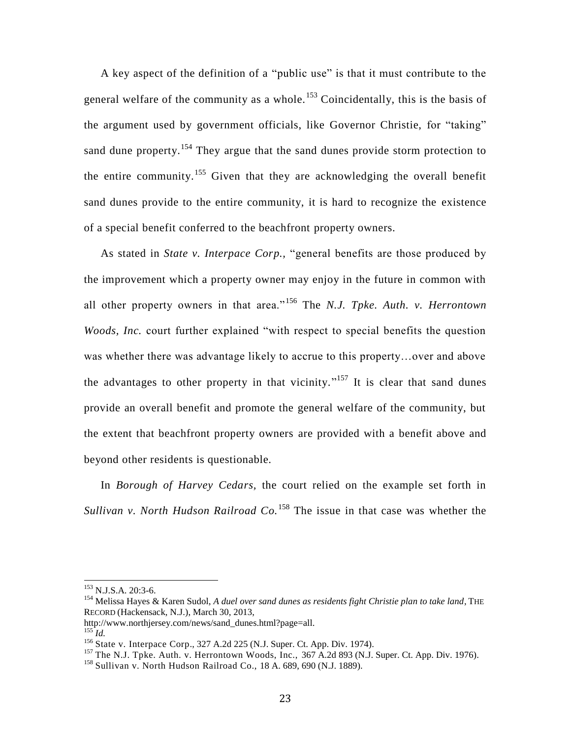A key aspect of the definition of a "public use" is that it must contribute to the general welfare of the community as a whole.<sup>153</sup> Coincidentally, this is the basis of the argument used by government officials, like Governor Christie, for "taking" sand dune property.<sup>154</sup> They argue that the sand dunes provide storm protection to the entire community.<sup>155</sup> Given that they are acknowledging the overall benefit sand dunes provide to the entire community, it is hard to recognize the existence of a special benefit conferred to the beachfront property owners.

As stated in *State v. Interpace Corp.,* "general benefits are those produced by the improvement which a property owner may enjoy in the future in common with all other property owners in that area."<sup>156</sup> The *N.J. Tpke. Auth. v. Herrontown Woods, Inc.* court further explained "with respect to special benefits the question was whether there was advantage likely to accrue to this property…over and above the advantages to other property in that vicinity."<sup>157</sup> It is clear that sand dunes provide an overall benefit and promote the general welfare of the community, but the extent that beachfront property owners are provided with a benefit above and beyond other residents is questionable.

In *Borough of Harvey Cedars,* the court relied on the example set forth in *Sullivan v. North Hudson Railroad Co.*<sup>158</sup> The issue in that case was whether the

<sup>&</sup>lt;sup>153</sup> N.J.S.A. 20:3-6.

<sup>&</sup>lt;sup>154</sup> Melissa Hayes & Karen Sudol, *A duel over sand dunes as residents fight Christie plan to take land*, THE RECORD (Hackensack, N.J.), March 30, 2013,

http://www.northjersey.com/news/sand\_dunes.html?page=all.

 $^{155}$ *Id.* 

<sup>156</sup> State v. Interpace Corp., 327 A.2d 225 (N.J. Super. Ct. App. Div. 1974).

 $157$  The N.J. Tpke. Auth. v. Herrontown Woods, Inc., 367 A.2d 893 (N.J. Super. Ct. App. Div. 1976).

<sup>158</sup> Sullivan v. North Hudson Railroad Co., 18 A. 689, 690 (N.J. 1889).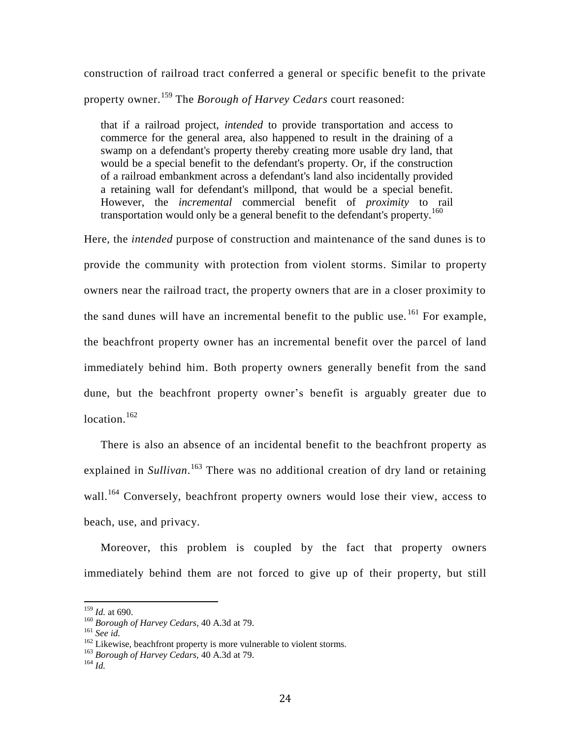construction of railroad tract conferred a general or specific benefit to the private property owner.<sup>159</sup> The *Borough of Harvey Cedars* court reasoned:

that if a railroad project, *intended* to provide transportation and access to commerce for the general area, also happened to result in the draining of a swamp on a defendant's property thereby creating more usable dry land, that would be a special benefit to the defendant's property. Or, if the construction of a railroad embankment across a defendant's land also incidentally provided a retaining wall for defendant's millpond, that would be a special benefit. However, the *incremental* commercial benefit of *proximity* to rail transportation would only be a general benefit to the defendant's property.<sup>160</sup>

Here, the *intended* purpose of construction and maintenance of the sand dunes is to provide the community with protection from violent storms. Similar to property owners near the railroad tract, the property owners that are in a closer proximity to the sand dunes will have an incremental benefit to the public use.  $^{161}$  For example, the beachfront property owner has an incremental benefit over the parcel of land immediately behind him. Both property owners generally benefit from the sand dune, but the beachfront property owner's benefit is arguably greater due to location.<sup>162</sup>

There is also an absence of an incidental benefit to the beachfront property as explained in *Sullivan*. <sup>163</sup> There was no additional creation of dry land or retaining wall.<sup>164</sup> Conversely, beachfront property owners would lose their view, access to beach, use, and privacy.

Moreover, this problem is coupled by the fact that property owners immediately behind them are not forced to give up of their property, but still

<sup>159</sup> *Id.* at 690.

<sup>160</sup> *Borough of Harvey Cedars,* 40 A.3d at 79.

<sup>161</sup> *See id.*

<sup>&</sup>lt;sup>162</sup> Likewise, beachfront property is more vulnerable to violent storms.

<sup>163</sup> *Borough of Harvey Cedars,* 40 A.3d at 79.

<sup>164</sup> *Id.*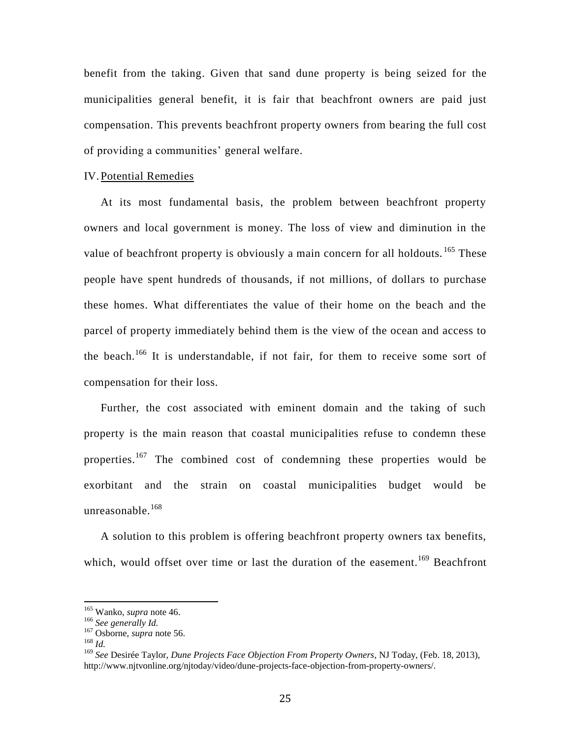benefit from the taking. Given that sand dune property is being seized for the municipalities general benefit, it is fair that beachfront owners are paid just compensation. This prevents beachfront property owners from bearing the full cost of providing a communities' general welfare.

#### IV. Potential Remedies

At its most fundamental basis, the problem between beachfront property owners and local government is money. The loss of view and diminution in the value of beachfront property is obviously a main concern for all holdouts.  $165$  These people have spent hundreds of thousands, if not millions, of dollars to purchase these homes. What differentiates the value of their home on the beach and the parcel of property immediately behind them is the view of the ocean and access to the beach.<sup>166</sup> It is understandable, if not fair, for them to receive some sort of compensation for their loss.

Further, the cost associated with eminent domain and the taking of such property is the main reason that coastal municipalities refuse to condemn these properties.<sup>167</sup> The combined cost of condemning these properties would be exorbitant and the strain on coastal municipalities budget would be unreasonable. $168$ 

A solution to this problem is offering beachfront property owners tax benefits, which, would offset over time or last the duration of the easement.<sup>169</sup> Beachfront

<sup>165</sup> Wanko, *supra* note 46.

<sup>166</sup> *See generally Id.*

<sup>167</sup> Osborne, *supra* note 56.

<sup>168</sup> *Id.*

<sup>169</sup> *See* Desirée Taylor, *Dune Projects Face Objection From Property Owners*, NJ Today, (Feb. 18, 2013), http://www.njtvonline.org/njtoday/video/dune-projects-face-objection-from-property-owners/.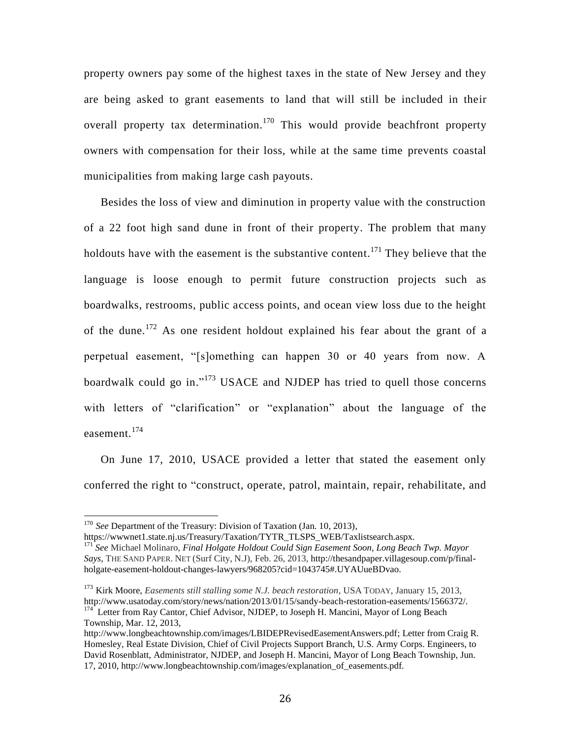property owners pay some of the highest taxes in the state of New Jersey and they are being asked to grant easements to land that will still be included in their overall property tax determination.<sup>170</sup> This would provide beachfront property owners with compensation for their loss, while at the same time prevents coastal municipalities from making large cash payouts.

Besides the loss of view and diminution in property value with the construction of a 22 foot high sand dune in front of their property. The problem that many holdouts have with the easement is the substantive content.<sup>171</sup> They believe that the language is loose enough to permit future construction projects such as boardwalks, restrooms, public access points, and ocean view loss due to the height of the dune.<sup>172</sup> As one resident holdout explained his fear about the grant of a perpetual easement, "[s]omething can happen 30 or 40 years from now. A boardwalk could go in."<sup>173</sup> USACE and NJDEP has tried to quell those concerns with letters of "clarification" or "explanation" about the language of the easement.<sup>174</sup>

On June 17, 2010, USACE provided a letter that stated the easement only conferred the right to "construct, operate, patrol, maintain, repair, rehabilitate, and

<sup>&</sup>lt;sup>170</sup> See Department of the Treasury: Division of Taxation (Jan. 10, 2013),

https://wwwnet1.state.nj.us/Treasury/Taxation/TYTR\_TLSPS\_WEB/Taxlistsearch.aspx. <sup>171</sup> *See* Michael Molinaro, *Final Holgate Holdout Could Sign Easement Soon, Long Beach Twp. Mayor Says*, THE SAND PAPER. NET (Surf City, N.J), Feb. 26, 2013, http://thesandpaper.villagesoup.com/p/finalholgate-easement-holdout-changes-lawyers/968205?cid=1043745#.UYAUueBDvao.

<sup>173</sup> Kirk Moore, *Easements still stalling some N.J. beach restoration*, USA TODAY, January 15, 2013, http://www.usatoday.com/story/news/nation/2013/01/15/sandy-beach-restoration-easements/1566372/. <sup>174</sup> Letter from Ray Cantor, Chief Advisor, NJDEP, to Joseph H. Mancini, Mayor of Long Beach Township, Mar. 12, 2013,

[http://www.longbeachtownship.com/images/LBIDEPRevisedEasementAnswers.pdf;](http://www.longbeachtownship.com/images/LBIDEPRevisedEasementAnswers.pdf) Letter from Craig R. Homesley, Real Estate Division, Chief of Civil Projects Support Branch, U.S. Army Corps. Engineers, to David Rosenblatt, Administrator, NJDEP, and Joseph H. Mancini, Mayor of Long Beach Township, Jun. 17, 2010, http://www.longbeachtownship.com/images/explanation\_of\_easements.pdf.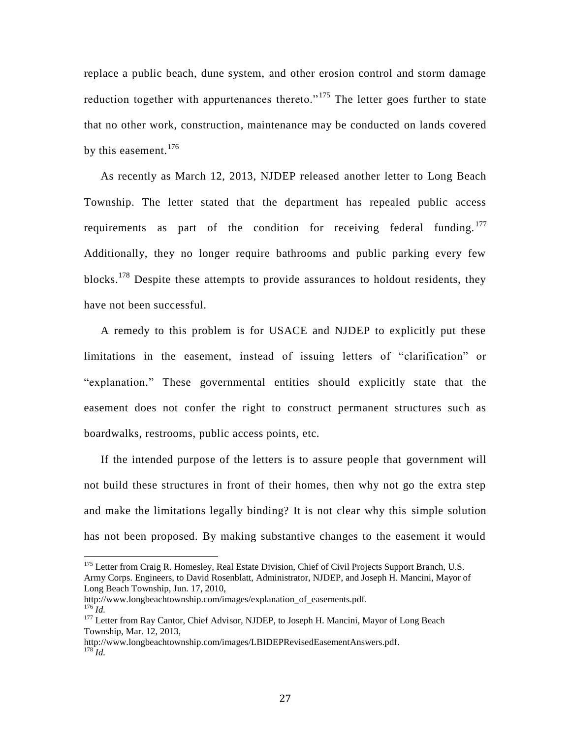replace a public beach, dune system, and other erosion control and storm damage reduction together with appurtenances thereto."<sup>175</sup> The letter goes further to state that no other work, construction, maintenance may be conducted on lands covered by this easement.  $176$ 

As recently as March 12, 2013, NJDEP released another letter to Long Beach Township. The letter stated that the department has repealed public access requirements as part of the condition for receiving federal funding.<sup>177</sup> Additionally, they no longer require bathrooms and public parking every few blocks.<sup>178</sup> Despite these attempts to provide assurances to holdout residents, they have not been successful.

A remedy to this problem is for USACE and NJDEP to explicitly put these limitations in the easement, instead of issuing letters of "clarification" or "explanation." These governmental entities should explicitly state that the easement does not confer the right to construct permanent structures such as boardwalks, restrooms, public access points, etc.

If the intended purpose of the letters is to assure people that government will not build these structures in front of their homes, then why not go the extra step and make the limitations legally binding? It is not clear why this simple solution has not been proposed. By making substantive changes to the easement it would

http://www.longbeachtownship.com/images/explanation\_of\_easements.pdf.  $176$  *Id.* 

<sup>&</sup>lt;sup>175</sup> Letter from Craig R. Homesley, Real Estate Division, Chief of Civil Projects Support Branch, U.S. Army Corps. Engineers, to David Rosenblatt, Administrator, NJDEP, and Joseph H. Mancini, Mayor of Long Beach Township, Jun. 17, 2010,

<sup>&</sup>lt;sup>177</sup> Letter from Ray Cantor, Chief Advisor, NJDEP, to Joseph H. Mancini, Mayor of Long Beach Township, Mar. 12, 2013,

[http://www.longbeachtownship.com/images/LBIDEPRevisedEasementAnswers.pdf.](http://www.longbeachtownship.com/images/LBIDEPRevisedEasementAnswers.pdf) <sup>178</sup> *Id.*